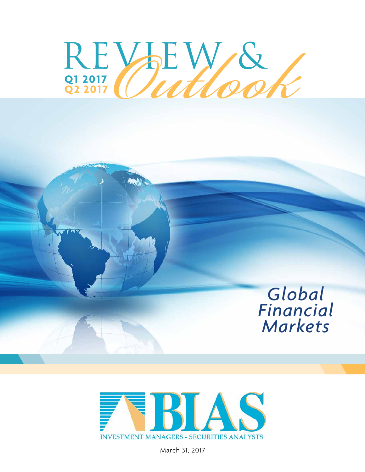

# *Global Financial Markets*



March 31, 2017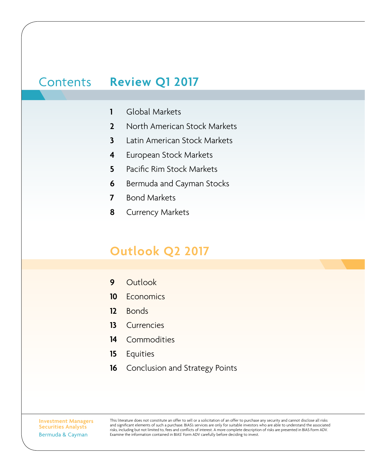# Contents **Review Q1 2017**

- Global Markets **1**
- North American Stock Markets **2**
- Latin American Stock Markets **3**
- European Stock Markets **4**
- Pacific Rim Stock Markets **5**
- Bermuda and Cayman Stocks **6**
- Bond Markets **7**
- Currency Markets **8**

# **Outlook Q2 2017**

- **Outlook 9**
- **Economics 10**
- Bonds **12**
- **Currencies 13**
- Commodities **14**
- Equities **15**
- Conclusion and Strategy Points **16**

**Investment Managers Securities Analysts**  Bermuda & Cayman

This literature does not constitute an offer to sell or a solicitation of an offer to purchase any security and cannot disclose all risks and significant elements of such a purchase. BIAS's services are only for suitable investors who are able to understand the associated risks, including but not limited to, fees and conflicts of interest. A more complete description of risks are presented in BIAS Form ADV. Examine the information contained in BIAS' Form ADV carefully before deciding to invest.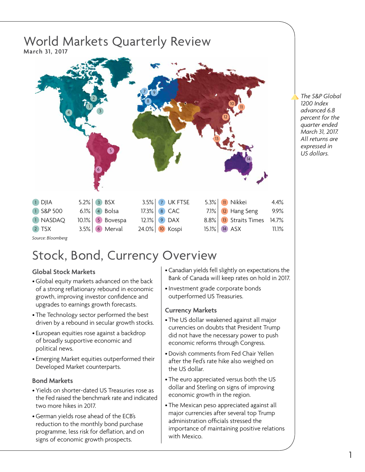

*Source: Bloomberg*

# Stock, Bond, Currency Overview

## **Global Stock Markets**

- Global equity markets advanced on the back of a strong reflationary rebound in economic growth, improving investor confidence and upgrades to earnings growth forecasts.
- The Technology sector performed the best driven by a rebound in secular growth stocks.
- European equities rose against a backdrop of broadly supportive economic and political news.
- Emerging Market equities outperformed their Developed Market counterparts.

## **Bond Markets**

- Yields on shorter-dated US Treasuries rose as the Fed raised the benchmark rate and indicated two more hikes in 2017.
- German yields rose ahead of the ECB's reduction to the monthly bond purchase programme, less risk for deflation, and on signs of economic growth prospects.
- Canadian yields fell slightly on expectations the Bank of Canada will keep rates on hold in 2017.
- •Investment grade corporate bonds outperformed US Treasuries.

## **Currency Markets**

- The US dollar weakened against all major currencies on doubts that President Trump did not have the necessary power to push economic reforms through Congress.
- Dovish comments from Fed Chair Yellen after the Fed's rate hike also weighed on the US dollar.
- The euro appreciated versus both the US dollar and Sterling on signs of improving economic growth in the region.
- The Mexican peso appreciated against all major currencies after several top Trump administration officials stressed the importance of maintaining positive relations with Mexico.

*The S&P Global 1200 Index advanced 6.8 percent for the quarter ended March 31, 2017. All returns are expressed in US dollars.*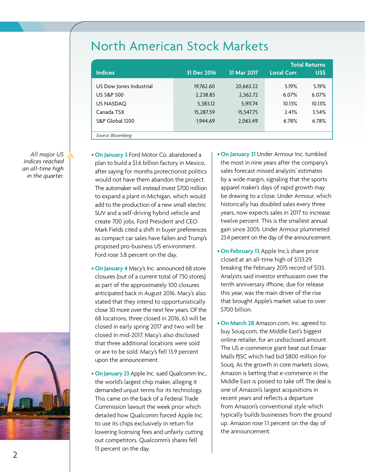|  | North American Stock Markets |  |  |  |
|--|------------------------------|--|--|--|
|--|------------------------------|--|--|--|

|                         |             |             | <b>Total Returns</b> |        |  |
|-------------------------|-------------|-------------|----------------------|--------|--|
| <b>Indices</b>          | 31 Dec 2016 | 31 Mar 2017 | <b>Local Curr.</b>   | US\$   |  |
| US Dow Jones Industrial | 19,762.60   | 20,663.22   | 5.19%                | 5.19%  |  |
| <b>US S&amp;P 500</b>   | 2,238.83    | 2,362.72    | 6.07%                | 6.07%  |  |
| US NASDAQ               | 5,383.12    | 5,911.74    | 10.13%               | 10.13% |  |
| Canada TSX              | 15,287.59   | 15,547.75   | 2.41%                | 3.54%  |  |
| S&P Global 1200         | 1.944.69    | 2,063.49    | 6.78%                | 6.78%  |  |
| Source: Bloomberg       |             |             |                      |        |  |

*All major US indices reached an all-time high in the quarter.*



- **• On January 3** Ford Motor Co. abandoned a plan to build a \$1.6 billion factory in Mexico, after saying for months protectionist politics would not have them abandon the project. The automaker will instead invest \$700 million to expand a plant in Michigan, which would add to the production of a new small electric SUV and a self-driving hybrid vehicle and create 700 jobs. Ford President and CEO Mark Fields cited a shift in buyer preferences as compact car sales have fallen and Trump's proposed pro-business US environment. Ford rose 3.8 percent on the day.
- **• On January 4** Macy's Inc. announced 68 store closures (out of a current total of 730 stores) as part of the approximately 100 closures anticipated back in August 2016. Macy's also stated that they intend to opportunistically close 30 more over the next few years. Of the 68 locations, three closed in 2016, 63 will be closed in early spring 2017 and two will be closed in mid-2017. Macy's also disclosed that three additional locations were sold or are to be sold. Macy's fell 13.9 percent upon the announcement.
- **• On January 23** Apple Inc. sued Qualcomm Inc., the world's largest chip maker, alleging it demanded unjust terms for its technology. This came on the back of a Federal Trade Commission lawsuit the week prior which detailed how Qualcomm forced Apple Inc. to use its chips exclusively in return for lowering licensing fees and unfairly cutting out competitors. Qualcomm's shares fell 13 percent on the day.
- **• On January 31** Under Armour Inc. tumbled the most in nine years after the company's sales forecast missed analysts' estimates by a wide margin, signaling that the sports apparel maker's days of rapid growth may be drawing to a close. Under Armour, which historically has doubled sales every three years, now expects sales in 2017 to increase twelve percent. This is the smallest annual gain since 2005. Under Armour plummeted 23.4 percent on the day of the announcement.
- **• On February 13** Apple Inc.'s share price closed at an all-time high of \$133.29, breaking the February 2015 record of \$133. Analysts said investor enthusiasm over the tenth anniversary iPhone, due for release this year, was the main driver of the rise that brought Apple's market value to over \$700 billion.
- **• On March 28** Amazon.com, Inc. agreed to buy Souq.com, the Middle East's biggest online retailer, for an undisclosed amount. The US e-commerce giant beat out Emaar Malls PJSC which had bid \$800 million for Souq. As the growth in core markets slows, Amazon is betting that e-commerce in the Middle East is poised to take off. The deal is one of Amazon's largest acquisitions in recent years and reflects a departure from Amazon's conventional style which typically builds businesses from the ground up. Amazon rose 1.1 percent on the day of the announcement.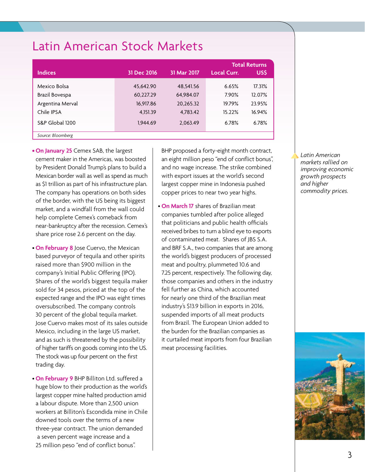| <b>Latin American Stock Markets</b> |
|-------------------------------------|
|-------------------------------------|

|                   |             |             | <b>Total Returns</b> |        |  |
|-------------------|-------------|-------------|----------------------|--------|--|
| <b>Indices</b>    | 31 Dec 2016 | 31 Mar 2017 | <b>Local Curr.</b>   | US\$   |  |
| Mexico Bolsa      | 45,642.90   | 48,541.56   | 6.65%                | 17.31% |  |
| Brazil Bovespa    | 60,227.29   | 64,984.07   | 7.90%                | 12.07% |  |
| Argentina Merval  | 16,917.86   | 20,265.32   | 19.79%               | 23.95% |  |
| Chile IPSA        | 4.151.39    | 4,783.42    | 15.22%               | 16.94% |  |
| S&P Global 1200   | 1.944.69    | 2,063.49    | 6.78%                | 6.78%  |  |
| Source: Bloomberg |             |             |                      |        |  |

**• On January 25** Cemex SAB, the largest cement maker in the Americas, was boosted by President Donald Trump's plans to build a Mexican border wall as well as spend as much as \$1 trillion as part of his infrastructure plan. The company has operations on both sides of the border, with the US being its biggest market, and a windfall from the wall could help complete Cemex's comeback from near-bankruptcy after the recession. Cemex's share price rose 2.6 percent on the day.

- **On February 8** Jose Cuervo, the Mexican based purveyor of tequila and other spirits raised more than \$900 million in the company's Initial Public Offering (IPO). Shares of the world's biggest tequila maker sold for 34 pesos, priced at the top of the expected range and the IPO was eight times oversubscribed. The company controls 30 percent of the global tequila market. Jose Cuervo makes most of its sales outside Mexico, including in the large US market, and as such is threatened by the possibility of higher tariffs on goods coming into the US. The stock was up four percent on the first trading day.
- **On February 9** BHP Billiton Ltd. suffered a huge blow to their production as the world's largest copper mine halted production amid a labour dispute. More than 2,500 union workers at Billiton's Escondida mine in Chile downed tools over the terms of a new three-year contract. The union demanded a seven percent wage increase and a 25 million peso "end of conflict bonus".

BHP proposed a forty-eight month contract, an eight million peso "end of conflict bonus", and no wage increase. The strike combined with export issues at the world's second largest copper mine in Indonesia pushed copper prices to near two year highs.

• **On March 17** shares of Brazilian meat companies tumbled after police alleged that politicians and public health officials received bribes to turn a blind eye to exports of contaminated meat. Shares of JBS S.A. and BRF S.A., two companies that are among the world's biggest producers of processed meat and poultry, plummeted 10.6 and 7.25 percent, respectively. The following day, those companies and others in the industry fell further as China, which accounted for nearly one third of the Brazilian meat industry's \$13.9 billion in exports in 2016, suspended imports of all meat products from Brazil. The European Union added to the burden for the Brazilian companies as it curtailed meat imports from four Brazilian meat processing facilities.

*Latin American markets rallied on improving economic growth prospects and higher commodity prices.* 

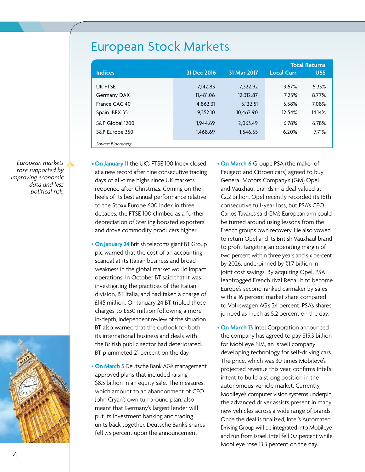# European Stock Markets

|                   |             |             | <b>Total Returns</b> |        |
|-------------------|-------------|-------------|----------------------|--------|
| <b>Indices</b>    | 31 Dec 2016 | 31 Mar 2017 | <b>Local Curr.</b>   | US\$   |
| <b>UK FTSE</b>    | 7.142.83    | 7.322.92    | 3.67%                | 5.33%  |
| Germany DAX       | 11.481.06   | 12,312.87   | 7.25%                | 8.77%  |
| France CAC 40     | 4.862.31    | 5,122.51    | 5.58%                | 7.08%  |
| Spain IBEX 35     | 9.352.10    | 10.462.90   | 12.54%               | 14.14% |
| S&P Global 1200   | 1.944.69    | 2,063.49    | 6.78%                | 6.78%  |
| S&P Europe 350    | 1.468.69    | 1,546.55    | 6.20%                | 7.71%  |
| Source: Bloomberg |             |             |                      |        |

*European markets rose supported by improving economic data and less political risk.*



**• On January 11** the UK's FTSE 100 Index closed at a new record after nine consecutive trading days of all-time highs since UK markets reopened after Christmas. Coming on the heels of its best annual performance relative to the Stoxx Europe 600 Index in three decades, the FTSE 100 climbed as a further depreciation of Sterling boosted exporters and drove commodity producers higher.

- **On January 24** British telecoms giant BT Group plc warned that the cost of an accounting scandal at its Italian business and broad weakness in the global market would impact operations. In October BT said that it was investigating the practices of the Italian division, BT Italia, and had taken a charge of £145 million. On January 24 BT tripled those charges to £530 million following a more in-depth, independent review of the situation. BT also warned that the outlook for both its international business and deals with the British public sector had deteriorated. BT plummeted 21 percent on the day.
- **On March 5** Deutsche Bank AG's management approved plans that included raising \$8.5 billion in an equity sale. The measures, which amount to an abandonment of CEO John Cryan's own turnaround plan, also meant that Germany's largest lender will put its investment banking and trading units back together. Deutsche Bank's shares fell 7.5 percent upon the announcement.

• **On March 6** Groupe PSA (the maker of Peugeot and Citroen cars) agreed to buy General Motors Company's (GM) Opel and Vauxhaul brands in a deal valued at €2.2 billion. Opel recently recorded its 16th consecutive full-year loss, but PSA's CEO Carlos Tavares said GM's European arm could be turned around using lessons from the French group's own recovery. He also vowed to return Opel and its British Vauxhaul brand to profit targeting an operating margin of two percent within three years and six percent by 2026, underpinned by €1.7 billion in joint cost savings. By acquiring Opel, PSA leapfrogged French rival Renault to become Europe's second-ranked carmaker by sales with a 16 percent market share compared to Volkswagen AG's 24 percent. PSA's shares jumped as much as 5.2 percent on the day.

• **On March 13** Intel Corporation announced the company has agreed to pay \$15.3 billion for Mobileye N.V., an Israeli company developing technology for self-driving cars. The price, which was 30 times Mobileye's projected revenue this year, confirms Intel's intent to build a strong position in the autonomous-vehicle market. Currently, Mobileye's computer vision systems underpin the advanced driver assists present in many new vehicles across a wide range of brands. Once the deal is finalized, Intel's Automated Driving Group will be integrated into Mobileye and run from Israel. Intel fell 0.7 percent while Mobileye rose 13.3 percent on the day.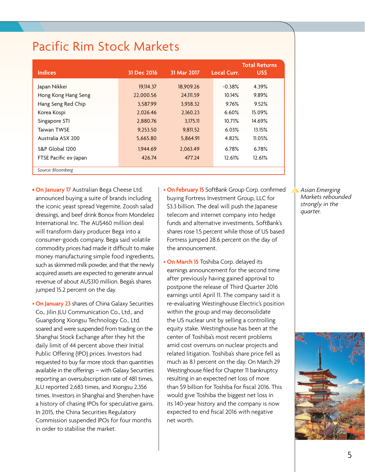# Pacific Rim Stock Markets

|                       |             |             | <b>Total Returns</b> |        |  |
|-----------------------|-------------|-------------|----------------------|--------|--|
| <b>Indices</b>        | 31 Dec 2016 | 31 Mar 2017 | <b>Local Curr.</b>   | US\$   |  |
| Japan Nikkei          | 19,114.37   | 18.909.26   | $-0.38%$             | 4.39%  |  |
| Hong Kong Hang Seng   | 22,000.56   | 24,111.59   | 10.14%               | 9.89%  |  |
| Hang Seng Red Chip    | 3.587.99    | 3.938.32    | 9.76%                | 9.52%  |  |
| Korea Kospi           | 2.026.46    | 2,160.23    | 6.60%                | 15.09% |  |
| Singapore STI         | 2,880.76    | 3.175.11    | 10.71%               | 14.69% |  |
| Taiwan TWSF           | 9,253.50    | 9,811.52    | 6.03%                | 13.15% |  |
| Australia ASX 200     | 5,665.80    | 5,864.91    | 4.82%                | 11.05% |  |
| S&P Global 1200       | 1,944.69    | 2,063.49    | 6.78%                | 6.78%  |  |
| FTSE Pacific ex-Japan | 426.74      | 477.24      | 12.61%               | 12.61% |  |
| Source: Bloomberg     |             |             |                      |        |  |

**• On January 17** Australian Bega Cheese Ltd. announced buying a suite of brands including the iconic yeast spread Vegemite, Zoosh salad dressings, and beef drink Bonox from Mondelez International Inc. The AU\$460 million deal will transform dairy producer Bega into a consumer-goods company. Bega said volatile commodity prices had made it difficult to make money manufacturing simple food ingredients, such as skimmed milk powder, and that the newly acquired assets are expected to generate annual revenue of about AU\$310 million. Bega's shares jumped 15.2 percent on the day.

• **On January 23** shares of China Galaxy Securities Co., Jilin JLU Communication Co., Ltd., and Guangdong Xiongsu Technology Co., Ltd. soared and were suspended from trading on the Shanghai Stock Exchange after they hit the daily limit of 44 percent above their Initial Public Offering (IPO) prices. Investors had requested to buy far more stock than quantities available in the offerings – with Galaxy Securities reporting an oversubscription rate of 481 times, JLU reported 2,683 times, and Xiongsu 2,356 times. Investors in Shanghai and Shenzhen have a history of chasing IPOs for speculative gains. In 2015, the China Securities Regulatory Commission suspended IPOs for four months in order to stabilise the market.

• **On February 15** SoftBank Group Corp. confirmed buying Fortress Investment Group, LLC for \$3.3 billion. The deal will push the Japanese telecom and internet company into hedge funds and alternative investments. SoftBank's shares rose 1.5 percent while those of US based Fortress jumped 28.6 percent on the day of the announcement.

• **On March 15** Toshiba Corp. delayed its earnings announcement for the second time after previously having gained approval to postpone the release of Third Quarter 2016 earnings until April 11. The company said it is re-evaluating Westinghouse Electric's position within the group and may deconsolidate the US nuclear unit by selling a controlling equity stake. Westinghouse has been at the center of Toshiba's most recent problems amid cost overruns on nuclear projects and related litigation. Toshiba's share price fell as much as 8.1 percent on the day. On March 29 Westinghouse filed for Chapter 11 bankruptcy resulting in an expected net loss of more than \$9 billion for Toshiba for fiscal 2016. This would give Toshiba the biggest net loss in its 140-year history and the company is now expected to end fiscal 2016 with negative net worth.

*Asian Emerging Markets rebounded strongly in the quarter.*

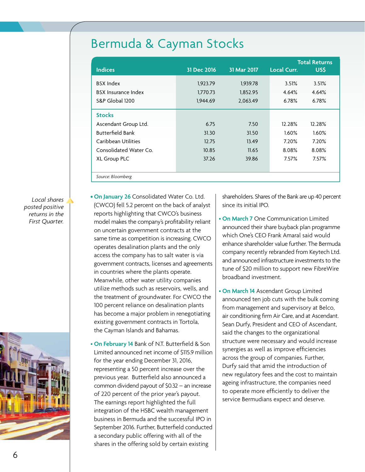# Bermuda & Cayman Stocks

| <b>Indices</b>             | 31 Dec 2016 | 31 Mar 2017 | <b>Total Returns</b><br>US\$<br><b>Local Curr.</b> |        |  |
|----------------------------|-------------|-------------|----------------------------------------------------|--------|--|
|                            |             |             |                                                    |        |  |
| <b>BSX Index</b>           | 1,923.79    | 1,939.78    | 3.51%                                              | 3.51%  |  |
| <b>BSX</b> Insurance Index | 1.770.73    | 1,852.95    | 4.64%                                              | 4.64%  |  |
| S&P Global 1200            | 1,944.69    | 2,063.49    | 6.78%                                              | 6.78%  |  |
| <b>Stocks</b>              |             |             |                                                    |        |  |
| Ascendant Group Ltd.       | 6.75        | 7.50        | 12.28%                                             | 12.28% |  |
| <b>Butterfield Bank</b>    | 31.30       | 31.50       | $1.60\%$                                           | 1.60%  |  |
| Caribbean Utilities        | 12.75       | 13.49       | 7.20%                                              | 7.20%  |  |
| Consolidated Water Co.     | 10.85       | 11.65       | 8.08%                                              | 8.08%  |  |
| XL Group PLC               | 37.26       | 39.86       | 7.57%                                              | 7.57%  |  |
|                            |             |             |                                                    |        |  |
| Source: Bloomberg          |             |             |                                                    |        |  |

*Local shares posted positive returns in the First Quarter.*



**• On January 26** Consolidated Water Co. Ltd. (CWCO) fell 5.2 percent on the back of analyst reports highlighting that CWCO's business model makes the company's profitability reliant on uncertain government contracts at the same time as competition is increasing. CWCO operates desalination plants and the only access the company has to salt water is via government contracts, licenses and agreements in countries where the plants operate. Meanwhile, other water utility companies utilize methods such as reservoirs, wells, and the treatment of groundwater. For CWCO the 100 percent reliance on desalination plants has become a major problem in renegotiating existing government contracts in Tortola, the Cayman Islands and Bahamas.

• **On February 14** Bank of N.T. Butterfield & Son Limited announced net income of \$115.9 million for the year ending December 31, 2016, representing a 50 percent increase over the previous year. Butterfield also announced a common dividend payout of \$0.32 – an increase of 220 percent of the prior year's payout. The earnings report highlighted the full integration of the HSBC wealth management business in Bermuda and the successful IPO in September 2016. Further, Butterfield conducted a secondary public offering with all of the shares in the offering sold by certain existing

shareholders. Shares of the Bank are up 40 percent since its initial IPO.

• **On March 7** One Communication Limited announced their share buyback plan programme which One's CEO Frank Amaral said would enhance shareholder value further. The Bermuda company recently rebranded from Keytech Ltd. and announced infrastructure investments to the tune of \$20 million to support new FibreWire broadband investment.

• **On March 14** Ascendant Group Limited announced ten job cuts with the bulk coming from management and supervisory at Belco, air conditioning firm Air Care, and at Ascendant. Sean Durfy, President and CEO of Ascendant, said the changes to the organizational structure were necessary and would increase synergies as well as improve efficiencies across the group of companies. Further, Durfy said that amid the introduction of new regulatory fees and the cost to maintain ageing infrastructure, the companies need to operate more efficiently to deliver the service Bermudians expect and deserve.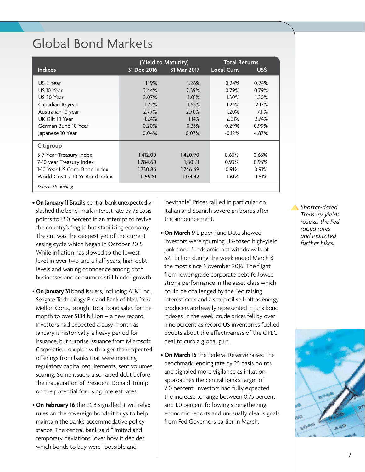# Global Bond Markets

|                                | (Yield to Maturity) |             | <b>Total Returns</b> |                 |
|--------------------------------|---------------------|-------------|----------------------|-----------------|
| <b>Indices</b>                 | 31 Dec 2016         | 31 Mar 2017 | Local Curr.          | USS <sub></sub> |
| US 2 Year                      | 1.19%               | 1.26%       | 0.24%                | 0.24%           |
| US 10 Year                     | 2.44%               | 2.39%       | 0.79%                | 0.79%           |
| US 30 Year                     | 3.07%               | 3.01%       | 1.30%                | 1.30%           |
| Canadian 10 year               | 1.72%               | 1.63%       | 1.24%                | 2.17%           |
| Australian 10 year             | 2.77%               | 2.70%       | 1.20%                | 7.11%           |
| UK Gilt 10 Year                | 1.24%               | 1.14%       | 2.01%                | 3.74%           |
| German Bund 10 Year            | 0.20%               | 0.33%       | $-0.29%$             | 0.99%           |
| Japanese 10 Year               | 0.04%               | 0.07%       | $-0.12%$             | 4.87%           |
| Citigroup                      |                     |             |                      |                 |
| 3-7 Year Treasury Index        | 1,412.00            | 1,420.90    | 0.63%                | 0.63%           |
| 7-10 year Treasury Index       | 1,784.60            | 1,801.11    | 0.93%                | 0.93%           |
| 1-10 Year US Corp. Bond Index  | 1,730.86            | 1,746.69    | 0.91%                | 0.91%           |
| World Gov't 7-10 Yr Bond Index | 1,155.81            | 1,174.42    | 1.61%                | 1.61%           |
| Source: Bloomberg              |                     |             |                      |                 |

- **• On January 11** Brazil's central bank unexpectedly slashed the benchmark interest rate by 75 basis points to 13.0 percent in an attempt to revive the country's fragile but stabilizing economy. The cut was the deepest yet of the current easing cycle which began in October 2015. While inflation has slowed to the lowest level in over two and a half years, high debt levels and waning confidence among both businesses and consumers still hinder growth.
- **On January 31** bond issuers, including AT&T Inc., Seagate Technology Plc and Bank of New York Mellon Corp., brought total bond sales for the month to over \$184 billion – a new record. Investors had expected a busy month as January is historically a heavy period for issuance, but surprise issuance from Microsoft Corporation, coupled with larger-than-expected offerings from banks that were meeting regulatory capital requirements, sent volumes soaring. Some issuers also raised debt before the inauguration of President Donald Trump on the potential for rising interest rates.
- **On February 16** the ECB signalled it will relax rules on the sovereign bonds it buys to help maintain the bank's accommodative policy stance. The central bank said "limited and temporary deviations" over how it decides which bonds to buy were "possible and

inevitable". Prices rallied in particular on Italian and Spanish sovereign bonds after the announcement.

- **On March 9** Lipper Fund Data showed investors were spurning US-based high-yield junk bond funds amid net withdrawals of \$2.1 billion during the week ended March 8, the most since November 2016. The flight from lower-grade corporate debt followed strong performance in the asset class which could be challenged by the Fed raising interest rates and a sharp oil sell-off as energy producers are heavily represented in junk bond indexes. In the week, crude prices fell by over nine percent as record US inventories fuelled doubts about the effectiveness of the OPEC deal to curb a global glut.
- **On March 15** the Federal Reserve raised the benchmark lending rate by 25 basis points and signaled more vigilance as inflation approaches the central bank's target of 2.0 percent. Investors had fully expected the increase to range between 0.75 percent and 1.0 percent following strengthening economic reports and unusually clear signals from Fed Governors earlier in March.

*Shorter-dated Treasury yields rose as the Fed raised rates and indicated further hikes.*

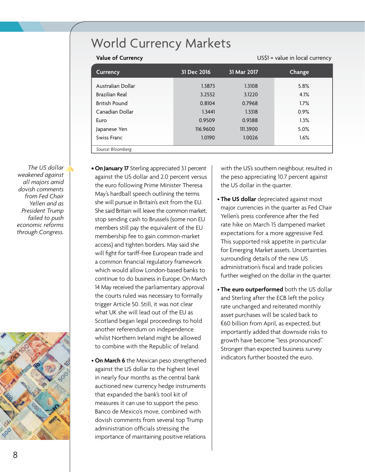# World Currency Markets

| <b>Value of Currency</b> | US\$1 = value in local currency |             |               |  |
|--------------------------|---------------------------------|-------------|---------------|--|
| <b>Currency</b>          | 31 Dec 2016                     | 31 Mar 2017 | <b>Change</b> |  |
| Australian Dollar        | 1.3873                          | 1.3108      | 5.8%          |  |
| Brazilian Real           | 3.2552                          | 3.1220      | 4.1%          |  |
| <b>British Pound</b>     | 0.8104                          | 0.7968      | 1.7%          |  |
| Canadian Dollar          | 1.3441                          | 1.3318      | 0.9%          |  |
| Euro                     | 0.9509                          | 0.9388      | 1.3%          |  |
| Japanese Yen             | 116.9600                        | 111.3900    | 5.0%          |  |
| Swiss Franc              | 1.0190                          | 1.0026      | 1.6%          |  |
| Source: Bloomberg        |                                 |             |               |  |

*The US dollar weakened against all majors amid dovish comments from Fed Chair Yellen and as President Trump failed to push economic reforms through Congress.*



- **• On January 17** Sterling appreciated 3.1 percent against the US dollar and 2.0 percent versus the euro following Prime Minister Theresa May's hardball speech outlining the terms she will pursue in Britain's exit from the EU. She said Britain will leave the common market, stop sending cash to Brussels (some non EU members still pay the equivalent of the EU membership fee to gain common-market access) and tighten borders. May said she will fight for tariff-free European trade and a common financial regulatory framework which would allow London-based banks to continue to do business in Europe. On March 14 May received the parliamentary approval the courts ruled was necessary to formally trigger Article 50. Still, it was not clear what UK she will lead out of the EU as Scotland began legal proceedings to hold another referendum on independence whilst Northern Ireland might be allowed to combine with the Republic of Ireland.
- **On March 6** the Mexican peso strengthened against the US dollar to the highest level in nearly four months as the central bank auctioned new currency hedge instruments that expanded the bank's tool kit of measures it can use to support the peso. Banco de Mexico's move, combined with dovish comments from several top Trump administration officials stressing the importance of maintaining positive relations

with the US's southern neighbour, resulted in the peso appreciating 10.7 percent against the US dollar in the quarter.

- **The US dollar** depreciated against most major currencies in the quarter as Fed Chair Yellen's press conference after the Fed rate hike on March 15 dampened market expectations for a more aggressive Fed. This supported risk appetite in particular for Emerging Market assets. Uncertainties surrounding details of the new US administration's fiscal and trade policies further weighed on the dollar in the quarter.
- **The euro outperformed** both the US dollar and Sterling after the ECB left the policy rate unchanged and reiterated monthly asset purchases will be scaled back to €60 billion from April, as expected, but importantly added that downside risks to growth have become "less pronounced". Stronger than expected business survey indicators further boosted the euro.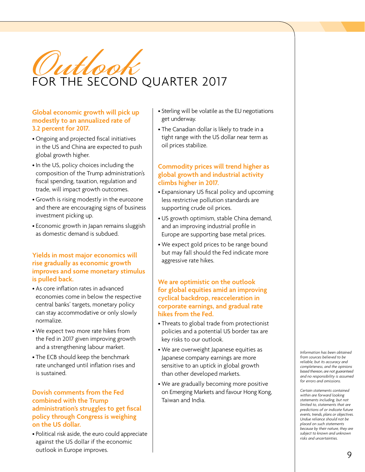

### **Global economic growth will pick up modestly to an annualized rate of 3.2 percent for 2017.**

- Ongoing and projected fiscal initiatives in the US and China are expected to push global growth higher.
- •In the US, policy choices including the composition of the Trump administration's fiscal spending, taxation, regulation and trade, will impact growth outcomes.
- Growth is rising modestly in the eurozone and there are encouraging signs of business investment picking up.
- Economic growth in Japan remains sluggish as domestic demand is subdued.

## **Yields in most major economics will rise gradually as economic growth improves and some monetary stimulus is pulled back.**

- As core inflation rates in advanced economies come in below the respective central banks' targets, monetary policy can stay accommodative or only slowly normalize.
- We expect two more rate hikes from the Fed in 2017 given improving growth and a strengthening labour market.
- The ECB should keep the benchmark rate unchanged until inflation rises and is sustained.

## **Dovish comments from the Fed combined with the Trump administration's struggles to get fiscal policy through Congress is weighing on the US dollar.**

• Political risk aside, the euro could appreciate against the US dollar if the economic outlook in Europe improves.

- Sterling will be volatile as the EU negotiations get underway.
- The Canadian dollar is likely to trade in a tight range with the US dollar near term as oil prices stabilize.

## **Commodity prices will trend higher as global growth and industrial activity climbs higher in 2017.**

- Expansionary US fiscal policy and upcoming less restrictive pollution standards are supporting crude oil prices.
- US growth optimism, stable China demand, and an improving industrial profile in Europe are supporting base metal prices.
- We expect gold prices to be range bound but may fall should the Fed indicate more aggressive rate hikes.

### **We are optimistic on the outlook for global equities amid an improving cyclical backdrop, reacceleration in corporate earnings, and gradual rate hikes from the Fed.**

- Threats to global trade from protectionist policies and a potential US border tax are key risks to our outlook.
- We are overweight Japanese equities as Japanese company earnings are more sensitive to an uptick in global growth than other developed markets.
- We are gradually becoming more positive on Emerging Markets and favour Hong Kong, Taiwan and India.

*Information has been obtained from sources believed to be reliable, but its accuracy and completeness, and the opinions based thereon, are not guaranteed and no responsibility is assumed for errors and omissions.*

*Certain statements contained within are forward looking statements including, but not limited to, statements that are predictions of or indicate future events, trends, plans or objectives. Undue reliance should not be placed on such statements because by their nature, they are subject to known and unknown risks and uncertainties.*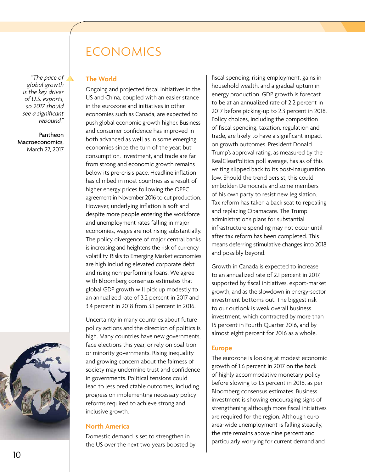*"The pace of global growth is the key driver of U.S. exports, so 2017 should see a significant rebound."*

Pantheon Macroeconomics, March 27, 2017



### **The World**

Ongoing and projected fiscal initiatives in the US and China, coupled with an easier stance in the eurozone and initiatives in other economies such as Canada, are expected to push global economic growth higher. Business and consumer confidence has improved in both advanced as well as in some emerging economies since the turn of the year; but consumption, investment, and trade are far from strong and economic growth remains below its pre-crisis pace. Headline inflation has climbed in most countries as a result of higher energy prices following the OPEC agreement in November 2016 to cut production. However, underlying inflation is soft and despite more people entering the workforce and unemployment rates falling in major economies, wages are not rising substantially. The policy divergence of major central banks is increasing and heightens the risk of currency volatility. Risks to Emerging Market economies are high including elevated corporate debt and rising non-performing loans. We agree with Bloomberg consensus estimates that global GDP growth will pick up modestly to an annualized rate of 3.2 percent in 2017 and 3.4 percent in 2018 from 3.1 percent in 2016.

Uncertainty in many countries about future policy actions and the direction of politics is high. Many countries have new governments, face elections this year, or rely on coalition or minority governments. Rising inequality and growing concern about the fairness of society may undermine trust and confidence in governments. Political tensions could lead to less predictable outcomes, including progress on implementing necessary policy reforms required to achieve strong and inclusive growth.

#### **North America**

Domestic demand is set to strengthen in the US over the next two years boosted by fiscal spending, rising employment, gains in household wealth, and a gradual upturn in energy production. GDP growth is forecast to be at an annualized rate of 2.2 percent in 2017 before picking-up to 2.3 percent in 2018. Policy choices, including the composition of fiscal spending, taxation, regulation and trade, are likely to have a significant impact on growth outcomes. President Donald Trump's approval rating, as measured by the RealClearPolitics poll average, has as of this writing slipped back to its post-inauguration low. Should the trend persist, this could embolden Democrats and some members of his own party to resist new legislation. Tax reform has taken a back seat to repealing and replacing Obamacare. The Trump administration's plans for substantial infrastructure spending may not occur until after tax reform has been completed. This means deferring stimulative changes into 2018 and possibly beyond.

Growth in Canada is expected to increase to an annualized rate of 2.1 percent in 2017, supported by fiscal initiatives, export-market growth, and as the slowdown in energy-sector investment bottoms out. The biggest risk to our outlook is weak overall business investment, which contracted by more than 15 percent in Fourth Quarter 2016, and by almost eight percent for 2016 as a whole.

#### **Europe**

The eurozone is looking at modest economic growth of 1.6 percent in 2017 on the back of highly accommodative monetary policy before slowing to 1.5 percent in 2018, as per Bloomberg consensus estimates. Business investment is showing encouraging signs of strengthening although more fiscal initiatives are required for the region. Although euro area-wide unemployment is falling steadily, the rate remains above nine percent and particularly worrying for current demand and

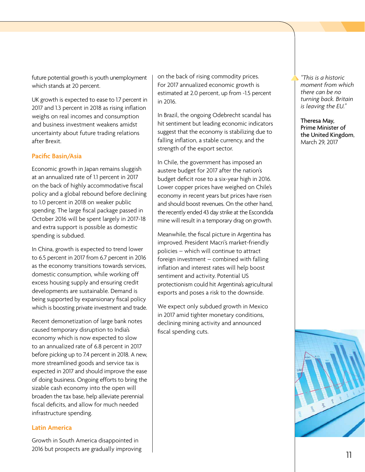future potential growth is youth unemployment which stands at 20 percent.

UK growth is expected to ease to 1.7 percent in 2017 and 1.3 percent in 2018 as rising inflation weighs on real incomes and consumption and business investment weakens amidst uncertainty about future trading relations after Brexit.

#### **Pacific Basin/Asia**

Economic growth in Japan remains sluggish at an annualized rate of 1.1 percent in 2017 on the back of highly accommodative fiscal policy and a global rebound before declining to 1.0 percent in 2018 on weaker public spending. The large fiscal package passed in October 2016 will be spent largely in 2017-18 and extra support is possible as domestic spending is subdued.

In China, growth is expected to trend lower to 6.5 percent in 2017 from 6.7 percent in 2016 as the economy transitions towards services, domestic consumption, while working off excess housing supply and ensuring credit developments are sustainable. Demand is being supported by expansionary fiscal policy which is boosting private investment and trade.

Recent demonetization of large bank notes caused temporary disruption to India's economy which is now expected to slow to an annualized rate of 6.8 percent in 2017 before picking up to 7.4 percent in 2018. A new, more streamlined goods and service tax is expected in 2017 and should improve the ease of doing business. Ongoing efforts to bring the sizable cash economy into the open will broaden the tax base, help alleviate perennial fiscal deficits, and allow for much needed infrastructure spending.

#### **Latin America**

Growth in South America disappointed in 2016 but prospects are gradually improving

on the back of rising commodity prices. For 2017 annualized economic growth is estimated at 2.0 percent, up from -1.5 percent in 2016.

In Brazil, the ongoing Odebrecht scandal has hit sentiment but leading economic indicators suggest that the economy is stabilizing due to falling inflation, a stable currency, and the strength of the export sector.

In Chile, the government has imposed an austere budget for 2017 after the nation's budget deficit rose to a six-year high in 2016. Lower copper prices have weighed on Chile's economy in recent years but prices have risen and should boost revenues. On the other hand, the recently ended 43 day strike at the Escondida mine will result in a temporary drag on growth.

Meanwhile, the fiscal picture in Argentina has improved. President Macri's market-friendly policies – which will continue to attract foreign investment – combined with falling inflation and interest rates will help boost sentiment and activity. Potential US protectionism could hit Argentina's agricultural exports and poses a risk to the downside.

We expect only subdued growth in Mexico in 2017 amid tighter monetary conditions, declining mining activity and announced fiscal spending cuts.

*"This is a historic moment from which there can be no turning back. Britain is leaving the EU."*

Theresa May, Prime Minister of the United Kingdom, March 29, 2017

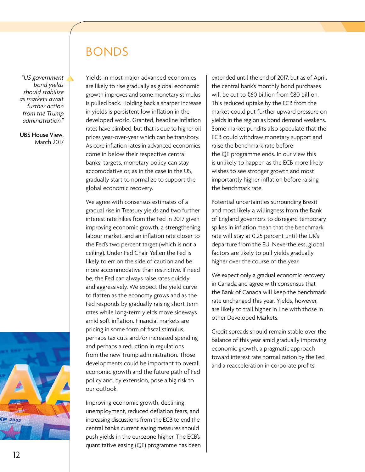# BONDS

global economic recovery.

We agree with consensus estimates of a gradual rise in Treasury yields and two further

Yields in most major advanced economies are likely to rise gradually as global economic growth improves and some monetary stimulus is pulled back. Holding back a sharper increase in yields is persistent low inflation in the developed world. Granted, headline inflation rates have climbed, but that is due to higher oil prices year-over-year which can be transitory. As core inflation rates in advanced economies come in below their respective central banks' targets, monetary policy can stay accomodative or, as in the case in the US, gradually start to normalize to support the

*"US government bond yields should stabilize as markets await further action from the Trump administration."*

UBS House View, March 2017

> interest rate hikes from the Fed in 2017 given improving economic growth, a strengthening labour market, and an inflation rate closer to the Fed's two percent target (which is not a ceiling). Under Fed Chair Yellen the Fed is likely to err on the side of caution and be more accommodative than restrictive. If need be, the Fed can always raise rates quickly and aggressively. We expect the yield curve to flatten as the economy grows and as the Fed responds by gradually raising short term rates while long-term yields move sideways amid soft inflation. Financial markets are pricing in some form of fiscal stimulus, perhaps tax cuts and/or increased spending and perhaps a reduction in regulations from the new Trump administration. Those developments could be important to overall economic growth and the future path of Fed policy and, by extension, pose a big risk to our outlook.

Improving economic growth, declining unemployment, reduced deflation fears, and increasing discussions from the ECB to end the central bank's current easing measures should push yields in the eurozone higher. The ECB's quantitative easing (QE) programme has been extended until the end of 2017, but as of April, the central bank's monthly bond purchases will be cut to €60 billion from €80 billion. This reduced uptake by the ECB from the market could put further upward pressure on yields in the region as bond demand weakens. Some market pundits also speculate that the ECB could withdraw monetary support and raise the benchmark rate before the QE programme ends. In our view this is unlikely to happen as the ECB more likely wishes to see stronger growth and most importantly higher inflation before raising the benchmark rate.

Potential uncertainties surrounding Brexit and most likely a willingness from the Bank of England governors to disregard temporary spikes in inflation mean that the benchmark rate will stay at 0.25 percent until the UK's departure from the EU. Nevertheless, global factors are likely to pull yields gradually higher over the course of the year.

We expect only a gradual economic recovery in Canada and agree with consensus that the Bank of Canada will keep the benchmark rate unchanged this year. Yields, however, are likely to trail higher in line with those in other Developed Markets.

Credit spreads should remain stable over the balance of this year amid gradually improving economic growth, a pragmatic approach toward interest rate normalization by the Fed, and a reacceleration in corporate profits.

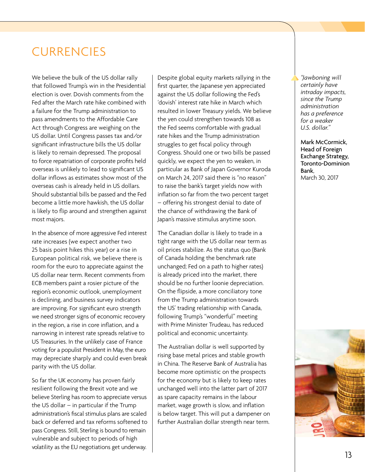# **CURRENCIES**

We believe the bulk of the US dollar rally that followed Trump's win in the Presidential election is over. Dovish comments from the Fed after the March rate hike combined with a failure for the Trump administration to pass amendments to the Affordable Care Act through Congress are weighing on the US dollar. Until Congress passes tax and/or significant infrastructure bills the US dollar is likely to remain depressed. The proposal to force repatriation of corporate profits held overseas is unlikely to lead to significant US dollar inflows as estimates show most of the overseas cash is already held in US dollars. Should substantial bills be passed and the Fed become a little more hawkish, the US dollar is likely to flip around and strengthen against most majors.

In the absence of more aggressive Fed interest rate increases (we expect another two 25 basis point hikes this year) or a rise in European political risk, we believe there is room for the euro to appreciate against the US dollar near term. Recent comments from ECB members paint a rosier picture of the region's economic outlook, unemployment is declining, and business survey indicators are improving. For significant euro strength we need stronger signs of economic recovery in the region, a rise in core inflation, and a narrowing in interest rate spreads relative to US Treasuries. In the unlikely case of France voting for a populist President in May, the euro may depreciate sharply and could even break parity with the US dollar.

So far the UK economy has proven fairly resilient following the Brexit vote and we believe Sterling has room to appreciate versus the US dollar  $-$  in particular if the Trump administration's fiscal stimulus plans are scaled back or deferred and tax reforms softened to pass Congress. Still, Sterling is bound to remain vulnerable and subject to periods of high volatility as the EU negotiations get underway.

Despite global equity markets rallying in the first quarter, the Japanese yen appreciated against the US dollar following the Fed's 'dovish' interest rate hike in March which resulted in lower Treasury yields. We believe the yen could strengthen towards 108 as the Fed seems comfortable with gradual rate hikes and the Trump administration struggles to get fiscal policy through Congress. Should one or two bills be passed quickly, we expect the yen to weaken, in particular as Bank of Japan Governor Kuroda on March 24, 2017 said there is "no reason" to raise the bank's target yields now with inflation so far from the two percent target – offering his strongest denial to date of the chance of withdrawing the Bank of Japan's massive stimulus anytime soon.

The Canadian dollar is likely to trade in a tight range with the US dollar near term as oil prices stabilize. As the status quo (Bank of Canada holding the benchmark rate unchanged; Fed on a path to higher rates) is already priced into the market, there should be no further loonie depreciation. On the flipside, a more conciliatory tone from the Trump administration towards the US' trading relationship with Canada, following Trump's "wonderful" meeting with Prime Minister Trudeau, has reduced political and economic uncertainty.

The Australian dollar is well supported by rising base metal prices and stable growth in China. The Reserve Bank of Australia has become more optimistic on the prospects for the economy but is likely to keep rates unchanged well into the latter part of 2017 as spare capacity remains in the labour market, wage growth is slow, and inflation is below target. This will put a dampener on further Australian dollar strength near term.

*"Jawboning will certainly have intraday impacts, since the Trump administration has a preference for a weaker U.S. dollar."*

Mark McCormick, Head of Foreign Exchange Strategy, Toronto-Dominion Bank, March 30, 2017

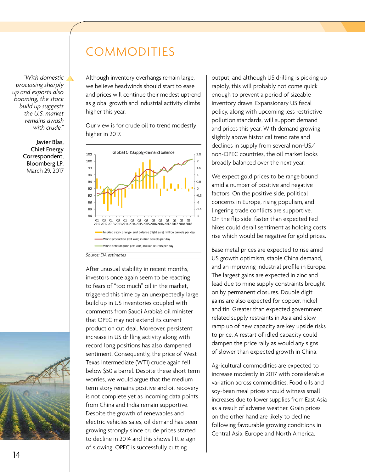#### *"With domestic processing sharply up and exports also booming, the stock build up suggests the U.S. market remains awash with crude."*

Javier Blas, Chief Energy Correspondent, Bloomberg LP, March 29, 2017



# COMMODITIES

Although inventory overhangs remain large, we believe headwinds should start to ease and prices will continue their modest uptrend as global growth and industrial activity climbs higher this year.

Our view is for crude oil to trend modestly higher in 2017.



After unusual stability in recent months, investors once again seem to be reacting to fears of "too much" oil in the market, triggered this time by an unexpectedly large build up in US inventories coupled with comments from Saudi Arabia's oil minister that OPEC may not extend its current production cut deal. Moreover, persistent increase in US drilling activity along with record long positions has also dampened sentiment. Consequently, the price of West Texas Intermediate (WTI) crude again fell below \$50 a barrel. Despite these short term worries, we would argue that the medium term story remains positive and oil recovery is not complete yet as incoming data points from China and India remain supportive. Despite the growth of renewables and electric vehicles sales, oil demand has been growing strongly since crude prices started to decline in 2014 and this shows little sign of slowing. OPEC is successfully cutting

output, and although US drilling is picking up rapidly, this will probably not come quick enough to prevent a period of sizeable inventory draws. Expansionary US fiscal policy, along with upcoming less restrictive pollution standards, will support demand and prices this year. With demand growing slightly above historical trend rate and declines in supply from several non-US/ non-OPEC countries, the oil market looks broadly balanced over the next year.

We expect gold prices to be range bound amid a number of positive and negative factors. On the positive side, political concerns in Europe, rising populism, and lingering trade conflicts are supportive. On the flip side, faster than expected Fed hikes could derail sentiment as holding costs rise which would be negative for gold prices.

Base metal prices are expected to rise amid US growth optimism, stable China demand, and an improving industrial profile in Europe. The largest gains are expected in zinc and lead due to mine supply constraints brought on by permanent closures. Double digit gains are also expected for copper, nickel and tin. Greater than expected government related supply restraints in Asia and slow ramp up of new capacity are key upside risks to price. A restart of idled capacity could dampen the price rally as would any signs of slower than expected growth in China.

Agricultural commodities are expected to increase modestly in 2017 with considerable variation across commodities. Food oils and soy-bean meal prices should witness small increases due to lower supplies from East Asia as a result of adverse weather. Grain prices on the other hand are likely to decline following favourable growing conditions in Central Asia, Europe and North America.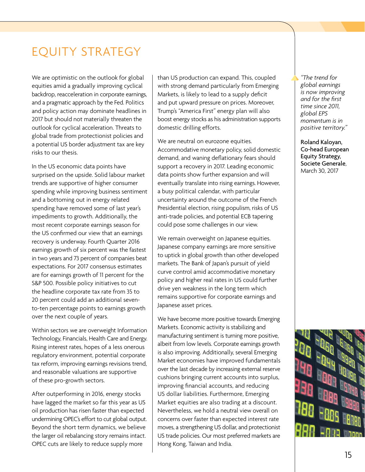# EQUITY STRATEGY

We are optimistic on the outlook for global equities amid a gradually improving cyclical backdrop, reacceleration in corporate earnings, and a pragmatic approach by the Fed. Politics and policy action may dominate headlines in 2017 but should not materially threaten the outlook for cyclical acceleration. Threats to global trade from protectionist policies and a potential US border adjustment tax are key risks to our thesis.

In the US economic data points have surprised on the upside. Solid labour market trends are supportive of higher consumer spending while improving business sentiment and a bottoming out in energy related spending have removed some of last year's impediments to growth. Additionally, the most recent corporate earnings season for the US confirmed our view that an earnings recovery is underway. Fourth Quarter 2016 earnings growth of six percent was the fastest in two years and 73 percent of companies beat expectations. For 2017 consensus estimates are for earnings growth of 11 percent for the S&P 500. Possible policy initiatives to cut the headline corporate tax rate from 35 to 20 percent could add an additional sevento-ten percentage points to earnings growth over the next couple of years.

Within sectors we are overweight Information Technology, Financials, Health Care and Energy. Rising interest rates, hopes of a less onerous regulatory environment, potential corporate tax reform, improving earnings revisions trend, and reasonable valuations are supportive of these pro-growth sectors.

After outperforming in 2016, energy stocks have lagged the market so far this year as US oil production has risen faster than expected undermining OPEC's effort to cut global output. Beyond the short term dynamics, we believe the larger oil rebalancing story remains intact. OPEC cuts are likely to reduce supply more

than US production can expand. This, coupled with strong demand particularly from Emerging Markets, is likely to lead to a supply deficit and put upward pressure on prices. Moreover, Trump's "America First" energy plan will also boost energy stocks as his administration supports domestic drilling efforts.

We are neutral on eurozone equities. Accommodative monetary policy, solid domestic demand, and waning deflationary fears should support a recovery in 2017. Leading economic data points show further expansion and will eventually translate into rising earnings. However, a busy political calendar, with particular uncertainty around the outcome of the French Presidential election, rising populism, risks of US anti-trade policies, and potential ECB tapering could pose some challenges in our view.

We remain overweight on Japanese equities. Japanese company earnings are more sensitive to uptick in global growth than other developed markets. The Bank of Japan's pursuit of yield curve control amid accommodative monetary policy and higher real rates in US could further drive yen weakness in the long term which remains supportive for corporate earnings and Japanese asset prices.

We have become more positive towards Emerging Markets. Economic activity is stabilizing and manufacturing sentiment is turning more positive, albeit from low levels. Corporate earnings growth is also improving. Additionally, several Emerging Market economies have improved fundamentals over the last decade by increasing external reserve cushions bringing current accounts into surplus, improving financial accounts, and reducing US dollar liabilities. Furthermore, Emerging Market equities are also trading at a discount. Nevertheless, we hold a neutral view overall on concerns over faster than expected interest rate moves, a strengthening US dollar, and protectionist US trade policies. Our most preferred markets are Hong Kong, Taiwan and India.

*"The trend for global earnings is now improving and for the first time since 2011, global EPS momentum is in positive territory."*

Roland Kaloyan, Co-head European Equity Strategy, Societe Generale, March 30, 2017

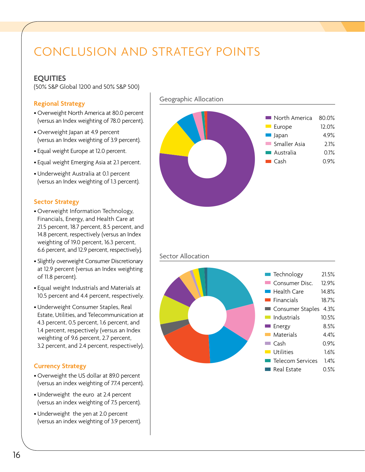# CONCLUSION AND STRATEGY POINTS

## **EQUITIES**

(50% S&P Global 1200 and 50% S&P 500)

## **Regional Strategy**

- Overweight North America at 80.0 percent (versus an Index weighting of 78.0 percent).
- Overweight Japan at 4.9 percent (versus an Index weighting of 3.9 percent).
- Equal weight Europe at 12.0 percent.
- Equal weight Emerging Asia at 2.1 percent.
- Underweight Australia at 0.1 percent (versus an Index weighting of 1.3 percent).

## **Sector Strategy**

- Overweight Information Technology, Financials, Energy, and Health Care at 21.5 percent, 18.7 percent, 8.5 percent, and 14.8 percent, respectively (versus an Index weighting of 19.0 percent, 16.3 percent, 6.6 percent, and 12.9 percent, respectively).
- Slightly overweight Consumer Discretionary at 12.9 percent (versus an Index weighting of 11.8 percent).
- Equal weight Industrials and Materials at 10.5 percent and 4.4 percent, respectively.
- Underweight Consumer Staples, Real Estate, Utilities, and Telecommunication at 4.3 percent, 0.5 percent, 1.6 percent, and 1.4 percent, respectively (versus an Index weighting of 9.6 percent, 2.7 percent, 3.2 percent, and 2.4 percent, respectively).

## **Currency Strategy**

- Overweight the US dollar at 89.0 percent (versus an index weighting of 77.4 percent).
- Underweight the euro at 2.4 percent (versus an index weighting of 7.5 percent).
- Underweight the yen at 2.0 percent (versus an index weighting of 3.9 percent).

#### Geographic Allocation



### Sector Allocation

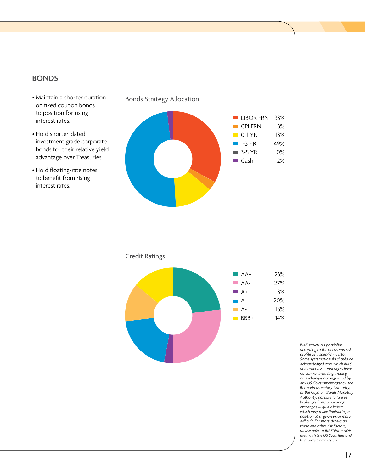# **BONDS**

- Maintain a shorter duration on fixed coupon bonds to position for rising interest rates.
- Hold shorter-dated investment grade corporate bonds for their relative yield advantage over Treasuries.
- Hold floating-rate notes to benefit from rising interest rates.



*BIAS structures portfolios according to the needs and risk profile of a specific investor. Some systematic risks should be acknowledged over which BIAS and other asset managers have no control including: trading on exchanges not regulated by any US Government agency, the Bermuda Monetary Authority, or the Cayman Islands Monetary Authority; possible failure of brokerage firms or clearing exchanges; illiquid Markets which may make liquidating a position at a given price more difficult. For more details on these and other risk factors, please refer to BIAS' Form ADV filed with the US Securities and Exchange Commission.*